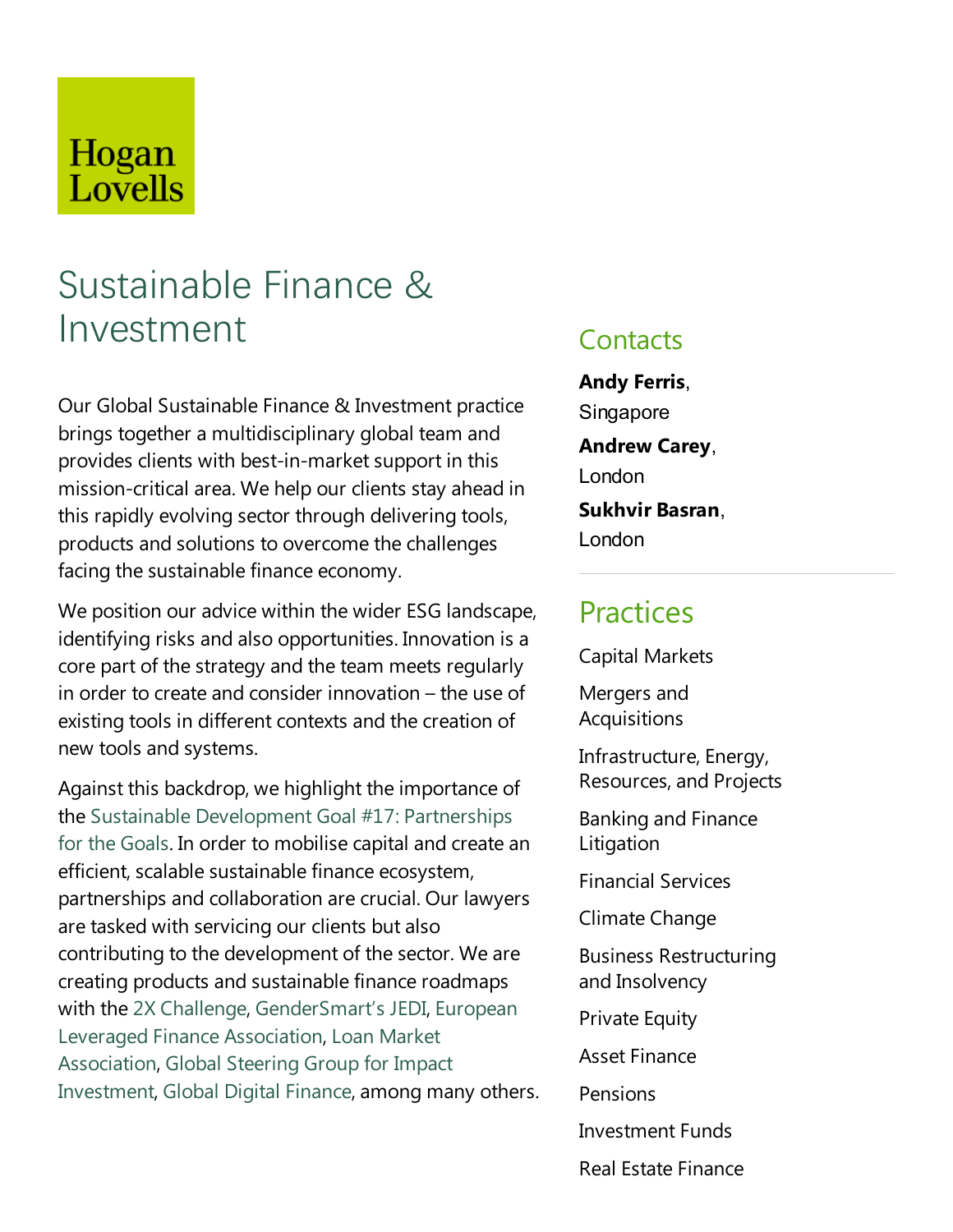# Hogan Lovells

# Sustainable Finance & Investment

Our Global Sustainable Finance & Investment practice brings together a multidisciplinary global team and provides clients with best-in-market support in this mission-critical area. We help our clients stay ahead in this rapidly evolving sector through delivering tools, products and solutions to overcome the challenges facing the sustainable finance economy.

We position our advice within the wider ESG landscape, identifying risks and also opportunities. Innovation is a core part of the strategy and the team meets regularly in order to create and consider innovation  $-$  the use of existing tools in different contexts and the creation of new tools and systems.

Against this backdrop, we highlight the importance of the Sustainable Development Goal #17: Partnerships for the Goals. In order to mobilise capital and create an efficient, scalable sustainable finance ecosystem, partnerships and collaboration are crucial. Our lawyers are tasked with servicing our clients but also contributing to the development of the sector. We are creating products and sustainable finance roadmaps with the 2X Challenge, GenderSmart's JEDI, European Leveraged Finance Association, Loan Market Association, Global Steering Group for Impact Investment, Global Digital Finance, among many others.

### **Contacts**

**Andy Ferris**, **Singapore Andrew Carey**, London **Sukhvir Basran**, London

# **Practices**

Capital Markets

Mergers and Acquisitions

Infrastructure, Energy, Resources, and Projects

Banking and Finance Litigation

Financial Services

Climate Change

Business Restructuring and Insolvency

**Private Equity** 

Asset Finance

Pensions

Investment Funds

Real Estate Finance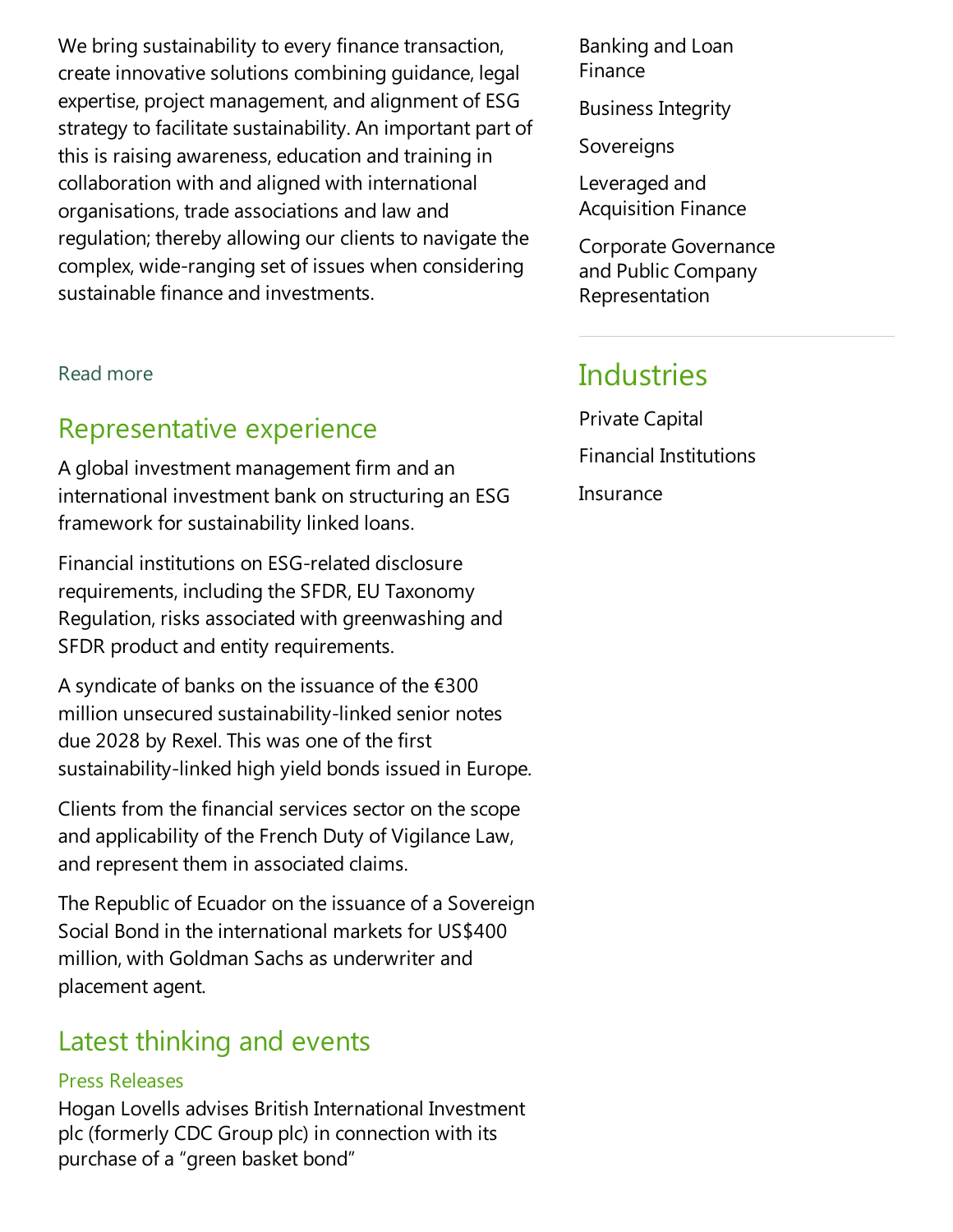We bring sustainability to every finance transaction, create innovative solutions combining guidance, legal expertise, project management, and alignment of ESG strategy to facilitate sustainability. An important part of this is raising awareness, education and training in collaboration with and aligned with international organisations, trade associations and law and regulation; thereby allowing our clients to navigate the complex, wide-ranging set of issues when considering sustainable finance and investments.

Read more

# Representative experience

A global investment management firm and an international investment bank on structuring an ESG framework for sustainability linked loans.

Financial institutions on ESG-related disclosure requirements, including the SFDR, EU Taxonomy Regulation, risks associated with greenwashing and SFDR product and entity requirements.

A syndicate of banks on the issuance of the  $\epsilon$ 300 million unsecured sustainability-linked senior notes due 2028 by Rexel. This was one of the first sustainability-linked high yield bonds issued in Europe.

Clients from the financial services sector on the scope and applicability of the French Duty of Vigilance Law, and represent them in associated claims.

The Republic of Ecuador on the issuance of a Sovereign Social Bond in the international markets for US\$400 million, with Goldman Sachs as underwriter and placement agent.

### Latest thinking and events

### Press Releases

Hogan Lovells advises British International Investment plc(formerly CDC Group plc) in connection with its purchase of a "green basket bond"

Banking and Loan Finance

Business Integrity

Sovereigns

Leveraged and Acquisition Finance

Corporate Governance and Public Company Representation

# **Industries**

Private Capital Financial Institutions **Insurance**